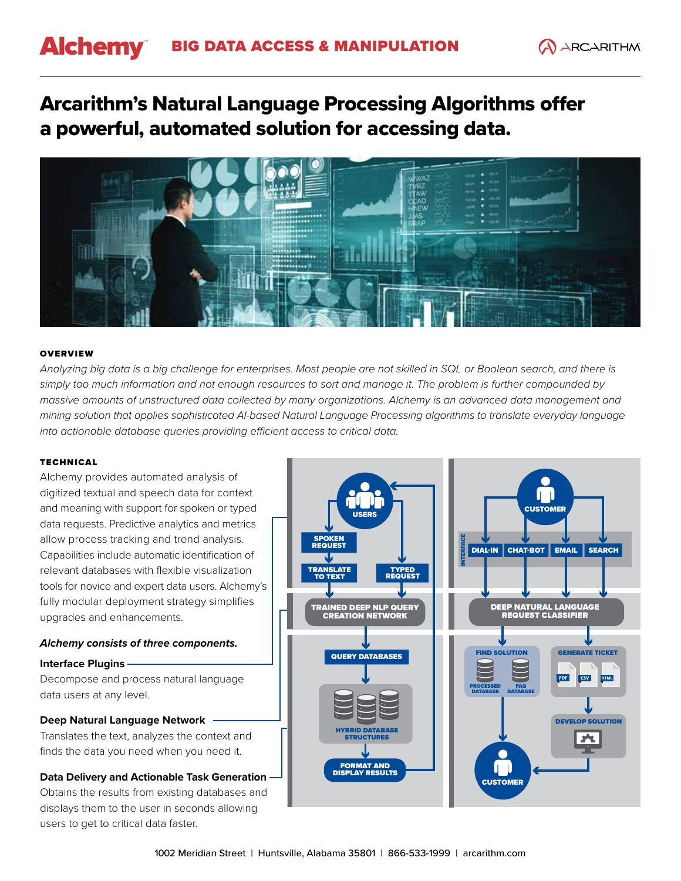# **Alchemy** BIG DATA ACCESS & MANIPULATION

# Arcarithm's Natural Language Processing Algorithms offer a powerful, automated solution for accessing data.



#### **OVERVIEW**

*Analyzing big data is a big challenge for enterprises. Most people are not skilled in SQL or Boolean search, and there is simply too much information and not enough resources to sort and manage it. The problem is further compounded by massive amounts of unstructured data collected by many organizations. Alchemy is an advanced data management and mining solution that applies sophisticated AI-based Natural Language Processing algorithms to translate everyday language into actionable database queries providing efficient access to critical data.*

#### **TECHNICAL**

Alchemy provides automated analysis of digitized textual and speech data for context and meaning with support for spoken or typed data requests. Predictive analytics and metrics allow process tracking and trend analysis. Capabilities include automatic identification of relevant databases with flexible visualization tools for novice and expert data users. Alchemy's fully modular deployment strategy simplifies upgrades and enhancements.

# *Alchemy consists of three components.*

# **Interface Plugins**

Decompose and process natural language data users at any level.

# **Deep Natural Language Network**

Translates the text, analyzes the context and finds the data you need when you need it.

# **Data Delivery and Actionable Task Generation**

Obtains the results from existing databases and displays them to the user in seconds allowing users to get to critical data faster.